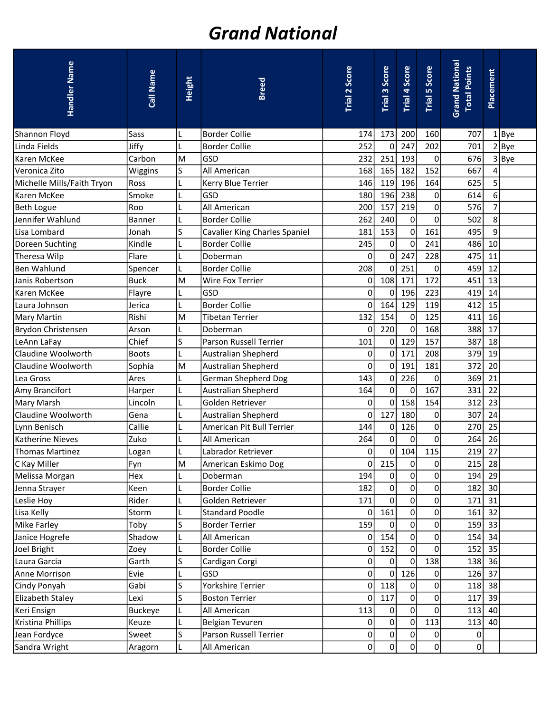## Grand National

| Handler Name               | Call Name      | Height    | <b>Breed</b>                  | Trial 2 Score | Trial 3 Score    | Trial 4 Score | <b>Trial 5 Score</b> | <b>Grand National</b><br><b>Total Points</b> | Placement |          |
|----------------------------|----------------|-----------|-------------------------------|---------------|------------------|---------------|----------------------|----------------------------------------------|-----------|----------|
| Shannon Floyd              | Sass           |           | <b>Border Collie</b>          | 174           | 173              | 200           | 160                  | 707                                          |           | $1$  Bye |
| Linda Fields               | Jiffy          |           | <b>Border Collie</b>          | 252           | 0                | 247           | 202                  | 701                                          |           | 2 Bye    |
| Karen McKee                | Carbon         | M         | GSD                           | 232           | 251              | 193           | $\overline{0}$       | 676                                          |           | 3 Bye    |
| Veronica Zito              | Wiggins        | S         | <b>All American</b>           | 168           | 165              | 182           | 152                  | 667                                          | 4         |          |
| Michelle Mills/Faith Tryon | Ross           |           | Kerry Blue Terrier            | 146           | 119              | 196           | 164                  | 625                                          | 5         |          |
| Karen McKee                | Smoke          |           | GSD                           | 180           | 196              | 238           | $\overline{0}$       | 614                                          | 6         |          |
| Beth Logue                 | Roo            |           | All American                  | 200           | 157              | 219           | $\overline{0}$       | 576                                          | 7         |          |
| Jennifer Wahlund           | <b>Banner</b>  |           | <b>Border Collie</b>          | 262           | 240              | 0             | $\overline{0}$       | 502                                          | 8         |          |
| Lisa Lombard               | Jonah          | S         | Cavalier King Charles Spaniel | 181           | 153              | 0             | 161                  | 495                                          | 9         |          |
| Doreen Suchting            | Kindle         |           | <b>Border Collie</b>          | 245           | 0                | 0             | 241                  | 486                                          | 10        |          |
| Theresa Wilp               | Flare          |           | Doberman                      | $\mathbf 0$   | $\pmb{0}$        | 247           | 228                  | 475                                          | 11        |          |
| Ben Wahlund                | Spencer        |           | <b>Border Collie</b>          | 208           | 0                | 251           | $\overline{0}$       | 459                                          | 12        |          |
| lJanis Robertson           | <b>Buck</b>    | M         | Wire Fox Terrier              | 0             | 108              | 171           | 172                  | 451                                          | 13        |          |
| lKaren McKee               | Flayre         |           | GSD                           | $\mathbf 0$   | 0                | 196           | 223                  | 419                                          | 14        |          |
| Laura Johnson              | Jerica         |           | <b>Border Collie</b>          | $\mathbf 0$   | 164              | 129           | 119                  | 412                                          | 15        |          |
| Mary Martin                | Rishi          | M         | <b>Tibetan Terrier</b>        | 132           | 154              | 0             | 125                  | 411                                          | 16        |          |
| Brydon Christensen         | Arson          |           | Doberman                      | 0             | 220              | 0             | 168                  | 388                                          | 17        |          |
| LeAnn LaFay                | Chief          | S         | Parson Russell Terrier        | 101           | 0                | 129           | 157                  | 387                                          | 18        |          |
| Claudine Woolworth         | <b>Boots</b>   |           | Australian Shepherd           | 0             | 0                | 171           | 208                  | 379                                          | 19        |          |
| Claudine Woolworth         | Sophia         | M         | <b>Australian Shepherd</b>    | $\mathbf 0$   | 0                | 191           | 181                  | 372                                          | 20        |          |
| Lea Gross                  | Ares           |           | German Shepherd Dog           | 143           | 0                | 226           | $\Omega$             | 369                                          | 21        |          |
| Amy Brancifort             | Harper         |           | Australian Shepherd           | 164           | $\mathbf 0$      | 0             | 167                  | 331                                          | 22        |          |
| Mary Marsh                 | Lincoln        | L         | Golden Retriever              | 0             | $\bf 0$          | 158           | 154                  | 312                                          | 23        |          |
| Claudine Woolworth         | Gena           |           | Australian Shepherd           | 0             | 127              | 180           | $\Omega$             | 307                                          | 24        |          |
| Lynn Benisch               | Callie         |           | American Pit Bull Terrier     | 144           | 0                | 126           | $\overline{0}$       | 270                                          | 25        |          |
| Katherine Nieves           | Zuko           |           | All American                  | 264           | $\boldsymbol{0}$ | $\pmb{0}$     | $\overline{0}$       | 264                                          | 26        |          |
| Thomas Martinez            | Logan          |           | Labrador Retriever            | 0             | 0                | 104           | 115                  | 219                                          | 27        |          |
| C Kay Miller               | Fyn            | ${\sf M}$ | American Eskimo Dog           | $\mathbf 0$   | 215              | $\pmb{0}$     | $\overline{0}$       | 215                                          | 28        |          |
| Melissa Morgan             | Hex            |           | Doberman                      | 194           | 0                | 0             | $\overline{0}$       | 194                                          | 29        |          |
| Jenna Strayer              | Keen           |           | <b>Border Collie</b>          | 182           | $\mathbf 0$      | $\pmb{0}$     | $\overline{0}$       | 182                                          | 30        |          |
| Leslie Hoy                 | Rider          |           | Golden Retriever              | 171           | 0                | 0             | $\overline{0}$       | 171                                          | 31        |          |
| Lisa Kelly                 | Storm          |           | <b>Standard Poodle</b>        | 0             | 161              | 0             | $\overline{0}$       | 161                                          | 32        |          |
| Mike Farley                | Toby           | S         | <b>Border Terrier</b>         | 159           | 0                | $\pmb{0}$     | $\overline{0}$       | 159                                          | 33        |          |
| Janice Hogrefe             | Shadow         |           | All American                  | $\Omega$      | 154              | 0             | $\overline{0}$       | 154                                          | 34        |          |
| Joel Bright                | Zoey           |           | <b>Border Collie</b>          | 0             | 152              | 0             | $\overline{0}$       | 152                                          | 35        |          |
| Laura Garcia               | Garth          | S         | Cardigan Corgi                | 0             | 0                | 0             | 138                  | 138                                          | 36        |          |
| Anne Morrison              | Evie           |           | GSD                           | 0             | 0                | 126           | $\overline{0}$       | 126                                          | 37        |          |
| Cindy Ponyah               | Gabi           | S         | Yorkshire Terrier             | $\mathbf 0$   | 118              | 0             | $\overline{0}$       | 118                                          | 38        |          |
| Elizabeth Staley           | Lexi           | S         | <b>Boston Terrier</b>         | 0             | 117              | 0             | $\overline{0}$       | 117                                          | 39        |          |
| Keri Ensign                | <b>Buckeye</b> |           | All American                  | 113           | 0                | 0             | 0                    | 113                                          | 40        |          |
| Kristina Phillips          | Keuze          |           | <b>Belgian Tevuren</b>        | $\mathbf 0$   | 0                | $\pmb{0}$     | 113                  | 113                                          | 40        |          |
| Jean Fordyce               | Sweet          | S         | Parson Russell Terrier        | 0             | 0                | 0             | 0                    | 0                                            |           |          |
| Sandra Wright              | Aragorn        |           | All American                  | 0             | 0                | 0             | $\Omega$             | 0                                            |           |          |